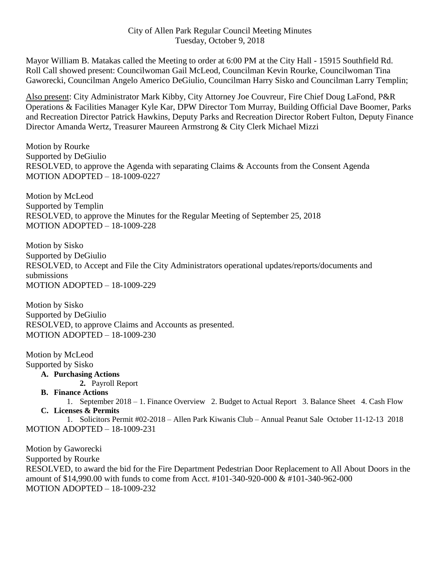## City of Allen Park Regular Council Meeting Minutes Tuesday, October 9, 2018

Mayor William B. Matakas called the Meeting to order at 6:00 PM at the City Hall - 15915 Southfield Rd. Roll Call showed present: Councilwoman Gail McLeod, Councilman Kevin Rourke, Councilwoman Tina Gaworecki, Councilman Angelo Americo DeGiulio, Councilman Harry Sisko and Councilman Larry Templin;

Also present: City Administrator Mark Kibby, City Attorney Joe Couvreur, Fire Chief Doug LaFond, P&R Operations & Facilities Manager Kyle Kar, DPW Director Tom Murray, Building Official Dave Boomer, Parks and Recreation Director Patrick Hawkins, Deputy Parks and Recreation Director Robert Fulton, Deputy Finance Director Amanda Wertz, Treasurer Maureen Armstrong & City Clerk Michael Mizzi

Motion by Rourke Supported by DeGiulio RESOLVED, to approve the Agenda with separating Claims & Accounts from the Consent Agenda MOTION ADOPTED – 18-1009-0227

Motion by McLeod Supported by Templin RESOLVED, to approve the Minutes for the Regular Meeting of September 25, 2018 MOTION ADOPTED – 18-1009-228

Motion by Sisko Supported by DeGiulio RESOLVED, to Accept and File the City Administrators operational updates/reports/documents and submissions MOTION ADOPTED – 18-1009-229

Motion by Sisko Supported by DeGiulio RESOLVED, to approve Claims and Accounts as presented. MOTION ADOPTED – 18-1009-230

Motion by McLeod

Supported by Sisko

**A. Purchasing Actions**

**2.** Payroll Report

**B. Finance Actions**

1. September 2018 – 1. Finance Overview 2. Budget to Actual Report 3. Balance Sheet 4. Cash Flow **C. Licenses & Permits**

1. Solicitors Permit #02-2018 – Allen Park Kiwanis Club – Annual Peanut Sale October 11-12-13 2018 MOTION ADOPTED – 18-1009-231

Motion by Gaworecki Supported by Rourke RESOLVED, to award the bid for the Fire Department Pedestrian Door Replacement to All About Doors in the amount of \$14,990.00 with funds to come from Acct. #101-340-920-000 & #101-340-962-000 MOTION ADOPTED – 18-1009-232